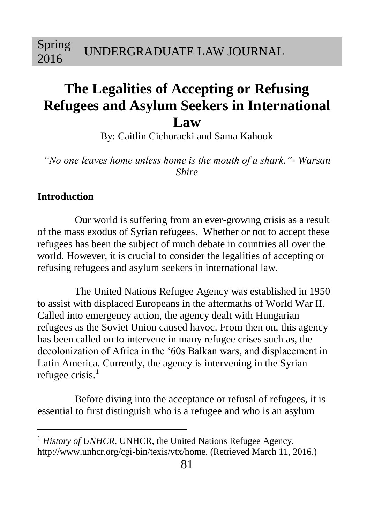# **The Legalities of Accepting or Refusing Refugees and Asylum Seekers in International Law**

By: Caitlin Cichoracki and Sama Kahook

*"No one leaves home unless home is the mouth of a shark."- Warsan Shire*

# **Introduction**

 $\overline{a}$ 

Our world is suffering from an ever-growing crisis as a result of the mass exodus of Syrian refugees. Whether or not to accept these refugees has been the subject of much debate in countries all over the world. However, it is crucial to consider the legalities of accepting or refusing refugees and asylum seekers in international law.

The United Nations Refugee Agency was established in 1950 to assist with displaced Europeans in the aftermaths of World War II. Called into emergency action, the agency dealt with Hungarian refugees as the Soviet Union caused havoc. From then on, this agency has been called on to intervene in many refugee crises such as, the decolonization of Africa in the '60s Balkan wars, and displacement in Latin America. Currently, the agency is intervening in the Syrian refugee crisis. $<sup>1</sup>$ </sup>

Before diving into the acceptance or refusal of refugees, it is essential to first distinguish who is a refugee and who is an asylum

<sup>&</sup>lt;sup>1</sup> *History of UNHCR*. UNHCR, the United Nations Refugee Agency, [http://www.unhcr.org/cgi-bin/texis/vtx/home.](http://www.unhcr.org/cgi-bin/texis/vtx/home) (Retrieved March 11, 2016.)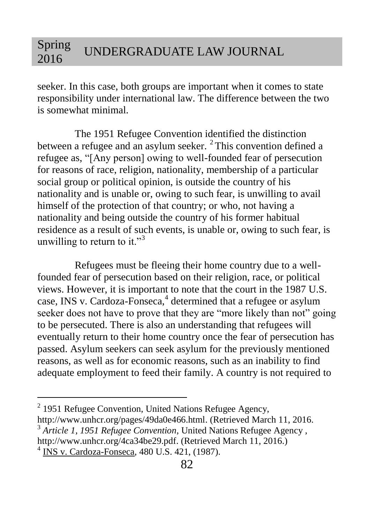seeker. In this case, both groups are important when it comes to state responsibility under international law. The difference between the two is somewhat minimal.

The 1951 Refugee Convention identified the distinction between a refugee and an asylum seeker.  $2$  This convention defined a refugee as, "[Any person] owing to well-founded fear of persecution for reasons of race, religion, nationality, membership of a particular social group or political opinion, is outside the country of his nationality and is unable or, owing to such fear, is unwilling to avail himself of the protection of that country; or who, not having a nationality and being outside the country of his former habitual residence as a result of such events, is unable or, owing to such fear, is unwilling to return to it."<sup>3</sup>

Refugees must be fleeing their home country due to a wellfounded fear of persecution based on their religion, race, or political views. However, it is important to note that the court in the 1987 U.S. case, INS v. Cardoza-Fonseca,<sup>4</sup> determined that a refugee or asylum seeker does not have to prove that they are "more likely than not" going to be persecuted. There is also an understanding that refugees will eventually return to their home country once the fear of persecution has passed. Asylum seekers can seek asylum for the previously mentioned reasons, as well as for economic reasons, such as an inability to find adequate employment to feed their family. A country is not required to

 $2$  1951 Refugee Convention, United Nations Refugee Agency, [http://www.unhcr.org/pages/49da0e466.html.](http://www.unhcr.org/pages/49da0e466.html) (Retrieved March 11, 2016. <sup>3</sup> *Article 1, 1951 Refugee Convention*, United Nations Refugee Agency ,

[http://www.unhcr.org/4ca34be29.pdf.](http://www.unhcr.org/4ca34be29.pdf) (Retrieved March 11, 2016.)

<sup>4</sup> INS v. Cardoza-Fonseca, 480 U.S. 421, (1987).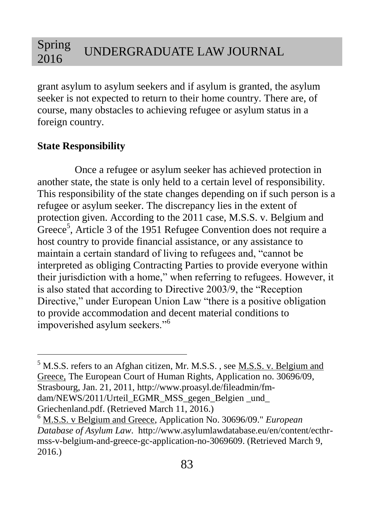grant asylum to asylum seekers and if asylum is granted, the asylum seeker is not expected to return to their home country. There are, of course, many obstacles to achieving refugee or asylum status in a foreign country.

# **State Responsibility**

 $\overline{a}$ 

Once a refugee or asylum seeker has achieved protection in another state, the state is only held to a certain level of responsibility. This responsibility of the state changes depending on if such person is a refugee or asylum seeker. The discrepancy lies in the extent of protection given. According to the 2011 case, M.S.S. v. Belgium and Greece<sup>5</sup>, Article 3 of the 1951 Refugee Convention does not require a host country to provide financial assistance, or any assistance to maintain a certain standard of living to refugees and, "cannot be interpreted as obliging Contracting Parties to provide everyone within their jurisdiction with a home," when referring to refugees. However, it is also stated that according to Directive 2003/9, the "Reception Directive," under European Union Law "there is a positive obligation to provide accommodation and decent material conditions to impoverished asylum seekers."<sup>6</sup>

<sup>5</sup> M.S.S. refers to an Afghan citizen, Mr. M.S.S., see <u>M.S.S. v. Belgium and</u> Greece, The European Court of Human Rights, Application no. 30696/09, Strasbourg, Jan. 21, 2011, [http://www.proasyl.de/fileadmin/fm](http://www.proasyl.de/fileadmin/fm-dam/NEWS/2011/Urteil_EGMR_MSS_gegen_Belgien%20_und_%20Griechenland.pdf)[dam/NEWS/2011/Urteil\\_EGMR\\_MSS\\_gegen\\_Belgien \\_und\\_](http://www.proasyl.de/fileadmin/fm-dam/NEWS/2011/Urteil_EGMR_MSS_gegen_Belgien%20_und_%20Griechenland.pdf)  [Griechenland.pdf.](http://www.proasyl.de/fileadmin/fm-dam/NEWS/2011/Urteil_EGMR_MSS_gegen_Belgien%20_und_%20Griechenland.pdf) (Retrieved March 11, 2016.)

<sup>6</sup> M.S.S. v Belgium and Greece, Application No. 30696/09." *European Database of Asylum Law*. [http://www.asylumlawdatabase.eu/en/content/ecthr](http://www.asylumlawdatabase.eu/en/content/ecthr-mss-v-belgium-and-greece-gc-application-no-3069609)[mss-v-belgium-and-greece-gc-application-no-3069609.](http://www.asylumlawdatabase.eu/en/content/ecthr-mss-v-belgium-and-greece-gc-application-no-3069609) (Retrieved March 9, 2016.)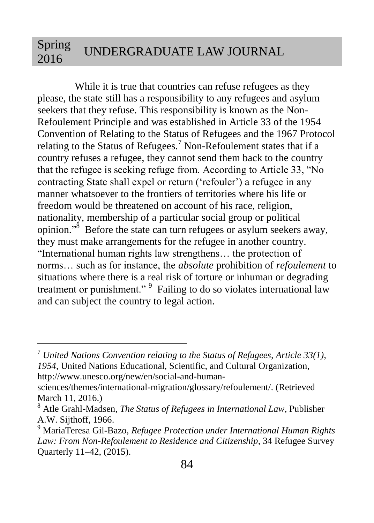While it is true that countries can refuse refugees as they please, the state still has a responsibility to any refugees and asylum seekers that they refuse. This responsibility is known as the Non-Refoulement Principle and was established in Article 33 of the 1954 Convention of Relating to the Status of Refugees and the 1967 Protocol relating to the Status of Refugees.<sup>7</sup> Non-Refoulement states that if a country refuses a refugee, they cannot send them back to the country that the refugee is seeking refuge from. According to Article 33, "No contracting State shall expel or return ('refouler') a refugee in any manner whatsoever to the frontiers of territories where his life or freedom would be threatened on account of his race, religion, nationality, membership of a particular social group or political opinion." 8 Before the state can turn refugees or asylum seekers away, they must make arrangements for the refugee in another country. "International human rights law strengthens… the protection of norms… such as for instance, the *absolute* prohibition of *refoulement* to situations where there is a real risk of torture or inhuman or degrading treatment or punishment."<sup>9</sup> Failing to do so violates international law and can subject the country to legal action.

 $7$  United Nations Convention relating to the Status of Refugees, Article 33(1), *1954*, United Nations Educational, Scientific, and Cultural Organization, [http://www.unesco.org/new/en/social-and-human-](http://www.unesco.org/new/en/social-and-human-sciences/themes/international-migration/glossary/refoulement/)

[sciences/themes/international-migration/glossary/refoulement/.](http://www.unesco.org/new/en/social-and-human-sciences/themes/international-migration/glossary/refoulement/) (Retrieved March 11, 2016.)

<sup>8</sup> Atle Grahl-Madsen, *The Status of Refugees in International Law*, Publisher A.W. Sijthoff, 1966.

<sup>9</sup> MariaTeresa Gil-Bazo, *Refugee Protection under International Human Rights Law: From Non-Refoulement to Residence and Citizenship*, 34 Refugee Survey Quarterly 11–42, (2015).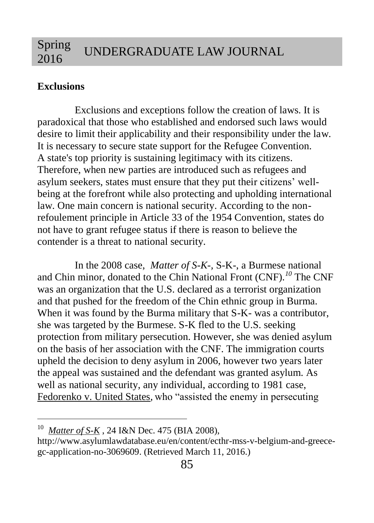# **Exclusions**

 $\overline{a}$ 

Exclusions and exceptions follow the creation of laws. It is paradoxical that those who established and endorsed such laws would desire to limit their applicability and their responsibility under the law. It is necessary to secure state support for the Refugee Convention. A state's top priority is sustaining legitimacy with its citizens. Therefore, when new parties are introduced such as refugees and asylum seekers, states must ensure that they put their citizens' wellbeing at the forefront while also protecting and upholding international law. One main concern is national security. According to the nonrefoulement principle in Article 33 of the 1954 Convention, states do not have to grant refugee status if there is reason to believe the contender is a threat to national security.

In the 2008 case, *Matter of S-K-,* S-K-, a Burmese national and Chin minor, donated to the Chin National Front (CNF).*<sup>10</sup>* The CNF was an organization that the U.S. declared as a terrorist organization and that pushed for the freedom of the Chin ethnic group in Burma. When it was found by the Burma military that S-K- was a contributor, she was targeted by the Burmese. S-K fled to the U.S. seeking protection from military persecution. However, she was denied asylum on the basis of her association with the CNF. The immigration courts upheld the decision to deny asylum in 2006, however two years later the appeal was sustained and the defendant was granted asylum. As well as national security, any individual, according to 1981 case, Fedorenko v. United States*,* who "assisted the enemy in persecuting

<sup>10</sup> *Matter of S-K* , 24 I&N Dec. 475 (BIA 2008),

[http://www.asylumlawdatabase.eu/en/content/ecthr-mss-v-belgium-and-greece](http://www.asylumlawdatabase.eu/en/content/ecthr-mss-v-belgium-and-greece-gc-application-no-3069609)[gc-application-no-3069609.](http://www.asylumlawdatabase.eu/en/content/ecthr-mss-v-belgium-and-greece-gc-application-no-3069609) (Retrieved March 11, 2016.)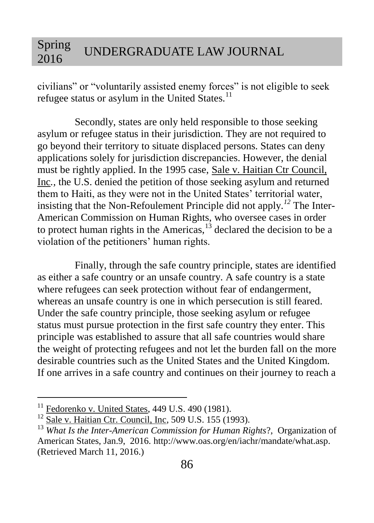civilians" or "voluntarily assisted enemy forces" is not eligible to seek refugee status or asylum in the United States. $^{11}$ 

Secondly, states are only held responsible to those seeking asylum or refugee status in their jurisdiction. They are not required to go beyond their territory to situate displaced persons. States can deny applications solely for jurisdiction discrepancies. However, the denial must be rightly applied. In the 1995 case, Sale v. Haitian Ctr Council, Inc*.,* the U.S. denied the petition of those seeking asylum and returned them to Haiti, as they were not in the United States' territorial water, insisting that the Non-Refoulement Principle did not apply.*<sup>12</sup>* The Inter-American Commission on Human Rights, who oversee cases in order to protect human rights in the Americas,  $13$  declared the decision to be a violation of the petitioners' human rights.

Finally, through the safe country principle, states are identified as either a safe country or an unsafe country. A safe country is a state where refugees can seek protection without fear of endangerment, whereas an unsafe country is one in which persecution is still feared. Under the safe country principle, those seeking asylum or refugee status must pursue protection in the first safe country they enter. This principle was established to assure that all safe countries would share the weight of protecting refugees and not let the burden fall on the more desirable countries such as the United States and the United Kingdom. If one arrives in a safe country and continues on their journey to reach a

 $11$  Fedorenko v. United States, 449 U.S. 490 (1981).

<sup>12</sup> Sale v. Haitian Ctr. Council, Inc, 509 U.S. 155 (1993).

<sup>13</sup> *What Is the Inter-American Commission for Human Rights*?, Organization of American States, Jan.9, 2016[. http://www.oas.org/en/iachr/mandate/what.asp.](http://www.oas.org/en/iachr/mandate/what.asp) (Retrieved March 11, 2016.)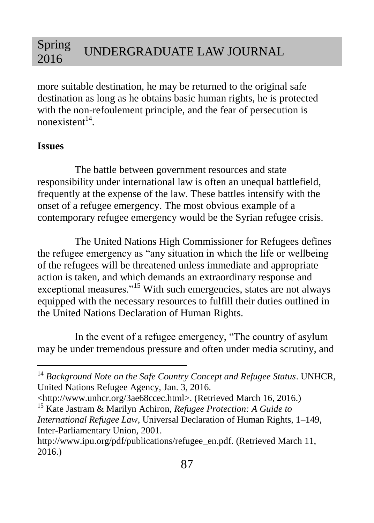more suitable destination, he may be returned to the original safe destination as long as he obtains basic human rights, he is protected with the non-refoulement principle, and the fear of persecution is nonexistent $14$ .

### **Issues**

 $\overline{a}$ 

The battle between government resources and state responsibility under international law is often an unequal battlefield, frequently at the expense of the law. These battles intensify with the onset of a refugee emergency. The most obvious example of a contemporary refugee emergency would be the Syrian refugee crisis.

The United Nations High Commissioner for Refugees defines the refugee emergency as "any situation in which the life or wellbeing of the refugees will be threatened unless immediate and appropriate action is taken, and which demands an extraordinary response and exceptional measures."<sup>15</sup> With such emergencies, states are not always equipped with the necessary resources to fulfill their duties outlined in the United Nations Declaration of Human Rights.

In the event of a refugee emergency, "The country of asylum may be under tremendous pressure and often under media scrutiny, and

<sup>14</sup> *Background Note on the Safe Country Concept and Refugee Status*. UNHCR, United Nations Refugee Agency, Jan. 3, 2016.

<sup>&</sup>lt;http://www.unhcr.org/3ae68ccec.html>. (Retrieved March 16, 2016.) <sup>15</sup> Kate Jastram & Marilyn Achiron, *Refugee Protection: A Guide to* 

*International Refugee Law*, Universal Declaration of Human Rights, 1–149, Inter-Parliamentary Union, 2001.

[http://www.ipu.org/pdf/publications/refugee\\_en.pdf.](http://www.ipu.org/pdf/publications/refugee_en.pdf) (Retrieved March 11, 2016.)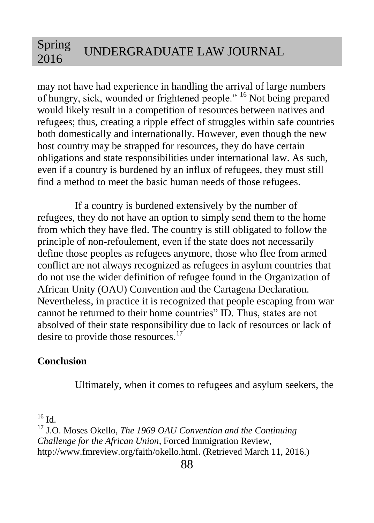may not have had experience in handling the arrival of large numbers of hungry, sick, wounded or frightened people." <sup>16</sup> Not being prepared would likely result in a competition of resources between natives and refugees; thus, creating a ripple effect of struggles within safe countries both domestically and internationally. However, even though the new host country may be strapped for resources, they do have certain obligations and state responsibilities under international law. As such, even if a country is burdened by an influx of refugees, they must still find a method to meet the basic human needs of those refugees.

If a country is burdened extensively by the number of refugees, they do not have an option to simply send them to the home from which they have fled. The country is still obligated to follow the principle of non-refoulement, even if the state does not necessarily define those peoples as refugees anymore, those who flee from armed conflict are not always recognized as refugees in asylum countries that do not use the wider definition of refugee found in the Organization of African Unity (OAU) Convention and the Cartagena Declaration. Nevertheless, in practice it is recognized that people escaping from war cannot be returned to their home countries" ID. Thus, states are not absolved of their state responsibility due to lack of resources or lack of desire to provide those resources.<sup>17</sup>

# **Conclusion**

Ultimately, when it comes to refugees and asylum seekers, the

 $\overline{a}$  $16$  Id.

<sup>17</sup> J.O. Moses Okello, *The 1969 OAU Convention and the Continuing Challenge for the African Union*, Forced Immigration Review, [http://www.fmreview.org/faith/okello.html.](http://www.fmreview.org/faith/okello.html) (Retrieved March 11, 2016.)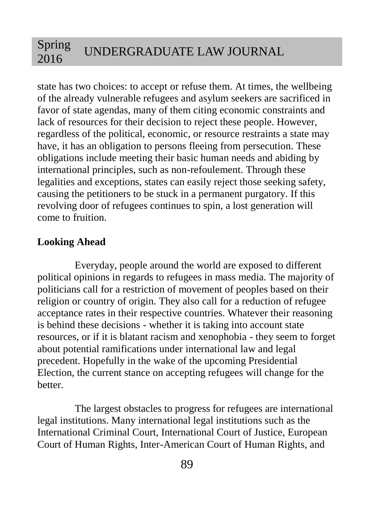state has two choices: to accept or refuse them. At times, the wellbeing of the already vulnerable refugees and asylum seekers are sacrificed in favor of state agendas, many of them citing economic constraints and lack of resources for their decision to reject these people. However, regardless of the political, economic, or resource restraints a state may have, it has an obligation to persons fleeing from persecution. These obligations include meeting their basic human needs and abiding by international principles, such as non-refoulement. Through these legalities and exceptions, states can easily reject those seeking safety, causing the petitioners to be stuck in a permanent purgatory. If this revolving door of refugees continues to spin, a lost generation will come to fruition.

# **Looking Ahead**

Everyday, people around the world are exposed to different political opinions in regards to refugees in mass media. The majority of politicians call for a restriction of movement of peoples based on their religion or country of origin. They also call for a reduction of refugee acceptance rates in their respective countries. Whatever their reasoning is behind these decisions - whether it is taking into account state resources, or if it is blatant racism and xenophobia - they seem to forget about potential ramifications under international law and legal precedent. Hopefully in the wake of the upcoming Presidential Election, the current stance on accepting refugees will change for the better.

The largest obstacles to progress for refugees are international legal institutions. Many international legal institutions such as the International Criminal Court, International Court of Justice, European Court of Human Rights, Inter-American Court of Human Rights, and